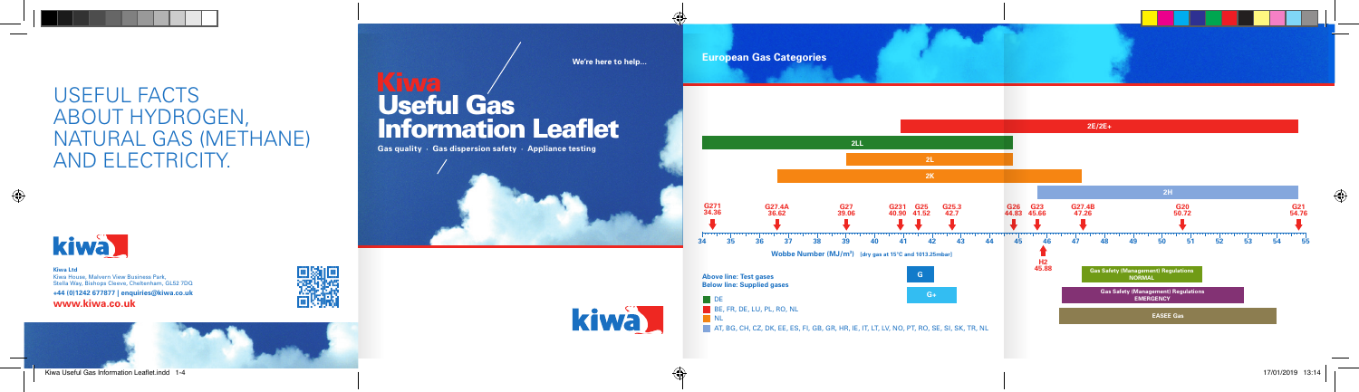# **European Gas Categories**



**Kiwa Ltd** Kiwa House, Malvern View Business Park, Stella Way, Bishops Cleeve, Cheltenham, GL52 7DQ **+44 (0)1242 677877 | enquiries@kiwa.co.uk www.kiwa.co.uk**





# USEFUL FACTS ABOUT HYDROGEN, NATURAL GAS (METHANE) AND ELECTRICITY.



Useful Gas

**Information Leaflet** 

**Gas quality · Gas dispersion safety · Appliance testing**

**We're here to help...**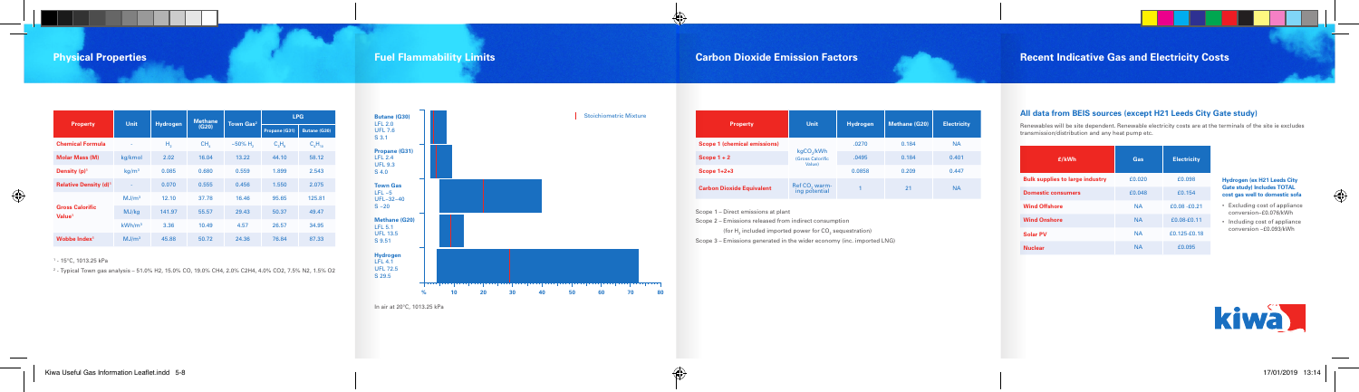| <b>Property</b>                              | Unit                     | <b>Hydrogen</b> | <b>Methane</b><br>(G20) | Town Gas <sup>2</sup> | <b>LPG</b>    |              |
|----------------------------------------------|--------------------------|-----------------|-------------------------|-----------------------|---------------|--------------|
|                                              |                          |                 |                         |                       | Propane (G31) | Butane (G30) |
| <b>Chemical Formula</b>                      | ٠                        | Н,              | CH,                     | $~100\%~H$            | C, H          | $C_AH_{10}$  |
| <b>Molar Mass (M)</b>                        | kg/kmol                  | 2.02            | 16.04                   | 13.22                 | 44.10         | 58.12        |
| Density $(p)^1$                              | kg/m <sup>3</sup>        | 0.085           | 0.680                   | 0.559                 | 1.899         | 2.543        |
| <b>Relative Density (d)<sup>1</sup></b>      | $\overline{\phantom{a}}$ | 0.070           | 0.555                   | 0.456                 | 1.550         | 2.075        |
| <b>Gross Calorific</b><br>Value <sup>1</sup> | MJ/m <sup>3</sup>        | 12.10           | 37.78                   | 16.46                 | 95.65         | 125.81       |
|                                              | MJ/kg                    | 141.97          | 55.57                   | 29.43                 | 50.37         | 49.47        |
|                                              | kWh/m <sup>3</sup>       | 3.36            | 10.49                   | 4.57                  | 26.57         | 34.95        |
| Wobbe Index <sup>1</sup>                     | MJ/m <sup>3</sup>        | 45.88           | 50.72                   | 24.36                 | 76.84         | 87.33        |

1 - 15°C, 1013.25 kPa

2 - Typical Town gas analysis – 51.0% H2, 15.0% CO, 19.0% CH4, 2.0% C2H4, 4.0% CO2, 7.5% N2, 1.5% O2

In air at 20°C, 1013.25 kPa



(for  ${\sf H}_{_2}$  included imported power for CO $_2$  sequestration) Scope 3 – Emissions generated in the wider economy (inc. imported LNG)

| Unit                                       | Hydrogen                         | <b>Methane (G20)</b> | <b>Electricity</b> |
|--------------------------------------------|----------------------------------|----------------------|--------------------|
|                                            | .0270                            | 0.184                | <b>NA</b>          |
| (Gross Calorific                           | .0495                            | 0.184                | 0.401              |
|                                            | 0.0858                           | 0.209                | 0.447              |
| Ref CO <sub>3</sub> warm-<br>ing potential |                                  | 21                   | <b>NA</b>          |
|                                            | kgCO <sub>2</sub> /kWh<br>Value) |                      |                    |

Scope 1 – Direct emissions at plant

Scope 2 – Emissions released from indirect consumption

## **All data from BEIS sources (except H21 Leeds City Gate study)**

Renewables will be site dependent. Renewable electricity costs are at the terminals of the site ie excludes transmission/distribution and any heat pump etc.

**Bulk supplies to Domestic consumers Wind Offshore Wind Onshore** 

**Solar PV** 

 $Nuclear$ 

### **Hydrogen (ex H21 Leeds City Gate study) Includes TOTAL cost gas well to domestic sofa**

- Excluding cost of appliance conversion~£0.076/kWh
- Including cost of appliance conversion ~£0.093/kWh



| £/kWh               | Gas       | <b>Electricity</b> |  |
|---------------------|-----------|--------------------|--|
| s to large industry | £0.020    | £0.098             |  |
| nsumers             | £0.048    | £0.154             |  |
| re                  | <b>NA</b> | £0.08 -£0.21       |  |
| re                  | <b>NA</b> | £0.08-£0.11        |  |
|                     | <b>NA</b> | £0.125-£0.18       |  |
|                     | <b>NA</b> | £0.095             |  |